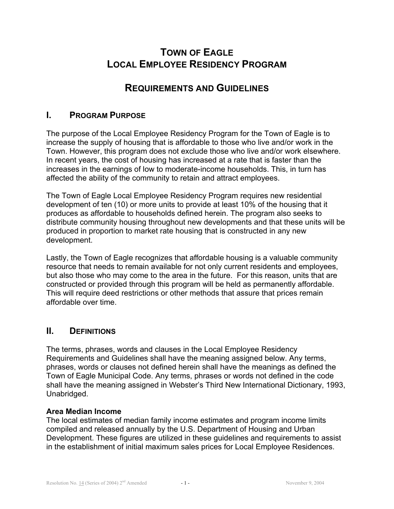# **TOWN OF EAGLE LOCAL EMPLOYEE RESIDENCY PROGRAM**

# **REQUIREMENTS AND GUIDELINES**

## **I. PROGRAM PURPOSE**

The purpose of the Local Employee Residency Program for the Town of Eagle is to increase the supply of housing that is affordable to those who live and/or work in the Town. However, this program does not exclude those who live and/or work elsewhere. In recent years, the cost of housing has increased at a rate that is faster than the increases in the earnings of low to moderate-income households. This, in turn has affected the ability of the community to retain and attract employees.

The Town of Eagle Local Employee Residency Program requires new residential development of ten (10) or more units to provide at least 10% of the housing that it produces as affordable to households defined herein. The program also seeks to distribute community housing throughout new developments and that these units will be produced in proportion to market rate housing that is constructed in any new development.

Lastly, the Town of Eagle recognizes that affordable housing is a valuable community resource that needs to remain available for not only current residents and employees, but also those who may come to the area in the future. For this reason, units that are constructed or provided through this program will be held as permanently affordable. This will require deed restrictions or other methods that assure that prices remain affordable over time.

# **II. DEFINITIONS**

The terms, phrases, words and clauses in the Local Employee Residency Requirements and Guidelines shall have the meaning assigned below. Any terms, phrases, words or clauses not defined herein shall have the meanings as defined the Town of Eagle Municipal Code. Any terms, phrases or words not defined in the code shall have the meaning assigned in Webster's Third New International Dictionary, 1993, Unabridged.

#### **Area Median Income**

The local estimates of median family income estimates and program income limits compiled and released annually by the U.S. Department of Housing and Urban Development. These figures are utilized in these guidelines and requirements to assist in the establishment of initial maximum sales prices for Local Employee Residences.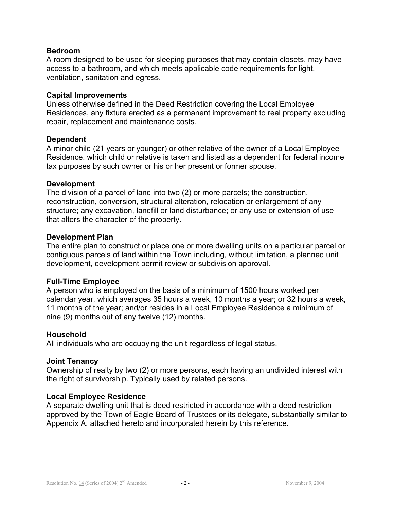#### **Bedroom**

A room designed to be used for sleeping purposes that may contain closets, may have access to a bathroom, and which meets applicable code requirements for light, ventilation, sanitation and egress.

#### **Capital Improvements**

Unless otherwise defined in the Deed Restriction covering the Local Employee Residences, any fixture erected as a permanent improvement to real property excluding repair, replacement and maintenance costs.

#### **Dependent**

A minor child (21 years or younger) or other relative of the owner of a Local Employee Residence, which child or relative is taken and listed as a dependent for federal income tax purposes by such owner or his or her present or former spouse.

#### **Development**

The division of a parcel of land into two (2) or more parcels; the construction, reconstruction, conversion, structural alteration, relocation or enlargement of any structure; any excavation, landfill or land disturbance; or any use or extension of use that alters the character of the property.

#### **Development Plan**

The entire plan to construct or place one or more dwelling units on a particular parcel or contiguous parcels of land within the Town including, without limitation, a planned unit development, development permit review or subdivision approval.

#### **Full-Time Employee**

A person who is employed on the basis of a minimum of 1500 hours worked per calendar year, which averages 35 hours a week, 10 months a year; or 32 hours a week, 11 months of the year; and/or resides in a Local Employee Residence a minimum of nine (9) months out of any twelve (12) months.

#### **Household**

All individuals who are occupying the unit regardless of legal status.

#### **Joint Tenancy**

Ownership of realty by two (2) or more persons, each having an undivided interest with the right of survivorship. Typically used by related persons.

#### **Local Employee Residence**

A separate dwelling unit that is deed restricted in accordance with a deed restriction approved by the Town of Eagle Board of Trustees or its delegate, substantially similar to Appendix A, attached hereto and incorporated herein by this reference.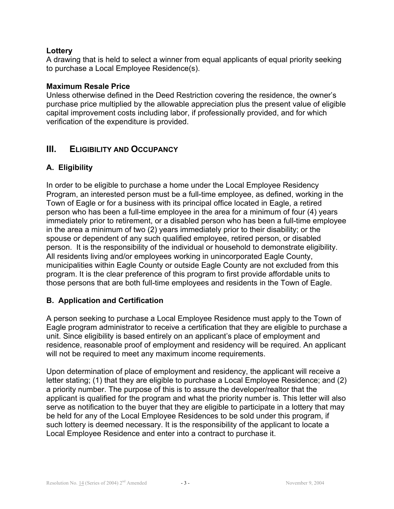## **Lottery**

A drawing that is held to select a winner from equal applicants of equal priority seeking to purchase a Local Employee Residence(s).

#### **Maximum Resale Price**

Unless otherwise defined in the Deed Restriction covering the residence, the owner's purchase price multiplied by the allowable appreciation plus the present value of eligible capital improvement costs including labor, if professionally provided, and for which verification of the expenditure is provided.

# **III. ELIGIBILITY AND OCCUPANCY**

# **A. Eligibility**

In order to be eligible to purchase a home under the Local Employee Residency Program, an interested person must be a full-time employee, as defined, working in the Town of Eagle or for a business with its principal office located in Eagle, a retired person who has been a full-time employee in the area for a minimum of four (4) years immediately prior to retirement, or a disabled person who has been a full-time employee in the area a minimum of two (2) years immediately prior to their disability; or the spouse or dependent of any such qualified employee, retired person, or disabled person. It is the responsibility of the individual or household to demonstrate eligibility. All residents living and/or employees working in unincorporated Eagle County, municipalities within Eagle County or outside Eagle County are not excluded from this program. It is the clear preference of this program to first provide affordable units to those persons that are both full-time employees and residents in the Town of Eagle.

# **B. Application and Certification**

A person seeking to purchase a Local Employee Residence must apply to the Town of Eagle program administrator to receive a certification that they are eligible to purchase a unit. Since eligibility is based entirely on an applicant's place of employment and residence, reasonable proof of employment and residency will be required. An applicant will not be required to meet any maximum income requirements.

Upon determination of place of employment and residency, the applicant will receive a letter stating; (1) that they are eligible to purchase a Local Employee Residence; and (2) a priority number. The purpose of this is to assure the developer/realtor that the applicant is qualified for the program and what the priority number is. This letter will also serve as notification to the buyer that they are eligible to participate in a lottery that may be held for any of the Local Employee Residences to be sold under this program, if such lottery is deemed necessary. It is the responsibility of the applicant to locate a Local Employee Residence and enter into a contract to purchase it.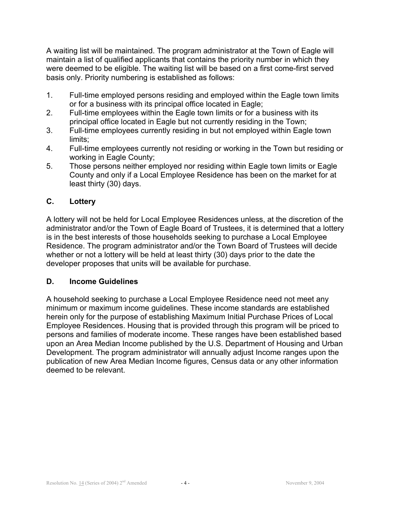A waiting list will be maintained. The program administrator at the Town of Eagle will maintain a list of qualified applicants that contains the priority number in which they were deemed to be eligible. The waiting list will be based on a first come-first served basis only. Priority numbering is established as follows:

- 1. Full-time employed persons residing and employed within the Eagle town limits or for a business with its principal office located in Eagle;
- 2. Full-time employees within the Eagle town limits or for a business with its principal office located in Eagle but not currently residing in the Town;
- 3. Full-time employees currently residing in but not employed within Eagle town limits;
- 4. Full-time employees currently not residing or working in the Town but residing or working in Eagle County;
- 5. Those persons neither employed nor residing within Eagle town limits or Eagle County and only if a Local Employee Residence has been on the market for at least thirty (30) days.

# **C. Lottery**

A lottery will not be held for Local Employee Residences unless, at the discretion of the administrator and/or the Town of Eagle Board of Trustees, it is determined that a lottery is in the best interests of those households seeking to purchase a Local Employee Residence. The program administrator and/or the Town Board of Trustees will decide whether or not a lottery will be held at least thirty (30) days prior to the date the developer proposes that units will be available for purchase.

#### **D. Income Guidelines**

A household seeking to purchase a Local Employee Residence need not meet any minimum or maximum income guidelines. These income standards are established herein only for the purpose of establishing Maximum Initial Purchase Prices of Local Employee Residences. Housing that is provided through this program will be priced to persons and families of moderate income. These ranges have been established based upon an Area Median Income published by the U.S. Department of Housing and Urban Development. The program administrator will annually adjust Income ranges upon the publication of new Area Median Income figures, Census data or any other information deemed to be relevant.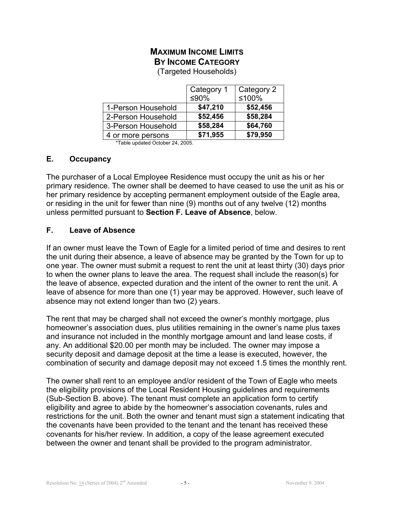# **MAXIMUM INCOME LIMITS BY INCOME CATEGORY**

(Targeted Households)

|                    | Category 1<br>≤90% | Category 2<br>≤100% |
|--------------------|--------------------|---------------------|
| 1-Person Household | \$47,210           | \$52,456            |
| 2-Person Household | \$52,456           | \$58,284            |
| 3-Person Household | \$58,284           | \$64,760            |
| 4 or more persons  | \$71,955           | \$79,950            |

\*Table updated October 24, 2005.

## **E. Occupancy**

The purchaser of a Local Employee Residence must occupy the unit as his or her primary residence. The owner shall be deemed to have ceased to use the unit as his or her primary residence by accepting permanent employment outside of the Eagle area, or residing in the unit for fewer than nine (9) months out of any twelve (12) months unless permitted pursuant to **Section F. Leave of Absence**, below.

## **F. Leave of Absence**

If an owner must leave the Town of Eagle for a limited period of time and desires to rent the unit during their absence, a leave of absence may be granted by the Town for up to one year. The owner must submit a request to rent the unit at least thirty (30) days prior to when the owner plans to leave the area. The request shall include the reason(s) for the leave of absence, expected duration and the intent of the owner to rent the unit. A leave of absence for more than one (1) year may be approved. However, such leave of absence may not extend longer than two (2) years.

The rent that may be charged shall not exceed the owner's monthly mortgage, plus homeowner's association dues, plus utilities remaining in the owner's name plus taxes and insurance not included in the monthly mortgage amount and land lease costs, if any. An additional \$20.00 per month may be included. The owner may impose a security deposit and damage deposit at the time a lease is executed, however, the combination of security and damage deposit may not exceed 1.5 times the monthly rent.

The owner shall rent to an employee and/or resident of the Town of Eagle who meets the eligibility provisions of the Local Resident Housing guidelines and requirements (Sub-Section B. above). The tenant must complete an application form to certify eligibility and agree to abide by the homeowner's association covenants, rules and restrictions for the unit. Both the owner and tenant must sign a statement indicating that the covenants have been provided to the tenant and the tenant has received these covenants for his/her review. In addition, a copy of the lease agreement executed between the owner and tenant shall be provided to the program administrator.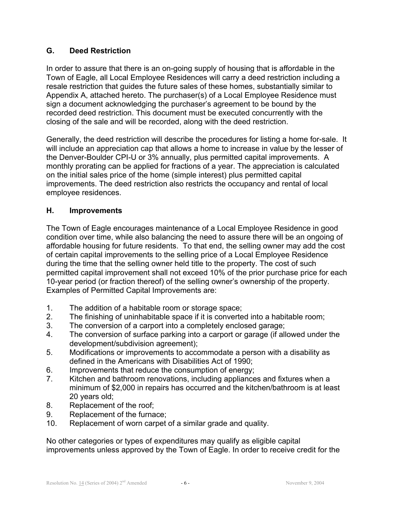## **G. Deed Restriction**

In order to assure that there is an on-going supply of housing that is affordable in the Town of Eagle, all Local Employee Residences will carry a deed restriction including a resale restriction that guides the future sales of these homes, substantially similar to Appendix A, attached hereto. The purchaser(s) of a Local Employee Residence must sign a document acknowledging the purchaser's agreement to be bound by the recorded deed restriction. This document must be executed concurrently with the closing of the sale and will be recorded, along with the deed restriction.

Generally, the deed restriction will describe the procedures for listing a home for-sale. It will include an appreciation cap that allows a home to increase in value by the lesser of the Denver-Boulder CPI-U or 3% annually, plus permitted capital improvements. A monthly prorating can be applied for fractions of a year. The appreciation is calculated on the initial sales price of the home (simple interest) plus permitted capital improvements. The deed restriction also restricts the occupancy and rental of local employee residences.

## **H. Improvements**

The Town of Eagle encourages maintenance of a Local Employee Residence in good condition over time, while also balancing the need to assure there will be an ongoing of affordable housing for future residents. To that end, the selling owner may add the cost of certain capital improvements to the selling price of a Local Employee Residence during the time that the selling owner held title to the property. The cost of such permitted capital improvement shall not exceed 10% of the prior purchase price for each 10-year period (or fraction thereof) of the selling owner's ownership of the property. Examples of Permitted Capital Improvements are:

- 1. The addition of a habitable room or storage space;
- 2. The finishing of uninhabitable space if it is converted into a habitable room;
- 3. The conversion of a carport into a completely enclosed garage;
- 4. The conversion of surface parking into a carport or garage (if allowed under the development/subdivision agreement);
- 5. Modifications or improvements to accommodate a person with a disability as defined in the Americans with Disabilities Act of 1990;
- 6. Improvements that reduce the consumption of energy;
- 7. Kitchen and bathroom renovations, including appliances and fixtures when a minimum of \$2,000 in repairs has occurred and the kitchen/bathroom is at least 20 years old;
- 8. Replacement of the roof;
- 9. Replacement of the furnace;
- 10. Replacement of worn carpet of a similar grade and quality.

No other categories or types of expenditures may qualify as eligible capital improvements unless approved by the Town of Eagle. In order to receive credit for the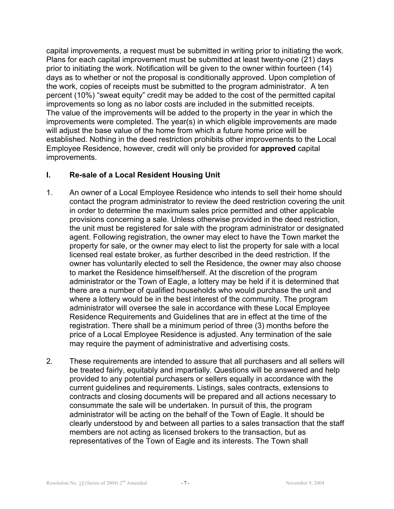capital improvements, a request must be submitted in writing prior to initiating the work. Plans for each capital improvement must be submitted at least twenty-one (21) days prior to initiating the work. Notification will be given to the owner within fourteen (14) days as to whether or not the proposal is conditionally approved. Upon completion of the work, copies of receipts must be submitted to the program administrator. A ten percent (10%) "sweat equity" credit may be added to the cost of the permitted capital improvements so long as no labor costs are included in the submitted receipts. The value of the improvements will be added to the property in the year in which the improvements were completed. The year(s) in which eligible improvements are made will adjust the base value of the home from which a future home price will be established. Nothing in the deed restriction prohibits other improvements to the Local Employee Residence, however, credit will only be provided for **approved** capital improvements.

## **I. Re-sale of a Local Resident Housing Unit**

- 1. An owner of a Local Employee Residence who intends to sell their home should contact the program administrator to review the deed restriction covering the unit in order to determine the maximum sales price permitted and other applicable provisions concerning a sale. Unless otherwise provided in the deed restriction, the unit must be registered for sale with the program administrator or designated agent. Following registration, the owner may elect to have the Town market the property for sale, or the owner may elect to list the property for sale with a local licensed real estate broker, as further described in the deed restriction. If the owner has voluntarily elected to sell the Residence, the owner may also choose to market the Residence himself/herself. At the discretion of the program administrator or the Town of Eagle, a lottery may be held if it is determined that there are a number of qualified households who would purchase the unit and where a lottery would be in the best interest of the community. The program administrator will oversee the sale in accordance with these Local Employee Residence Requirements and Guidelines that are in effect at the time of the registration. There shall be a minimum period of three (3) months before the price of a Local Employee Residence is adjusted. Any termination of the sale may require the payment of administrative and advertising costs.
- 2. These requirements are intended to assure that all purchasers and all sellers will be treated fairly, equitably and impartially. Questions will be answered and help provided to any potential purchasers or sellers equally in accordance with the current guidelines and requirements. Listings, sales contracts, extensions to contracts and closing documents will be prepared and all actions necessary to consummate the sale will be undertaken. In pursuit of this, the program administrator will be acting on the behalf of the Town of Eagle. It should be clearly understood by and between all parties to a sales transaction that the staff members are not acting as licensed brokers to the transaction, but as representatives of the Town of Eagle and its interests. The Town shall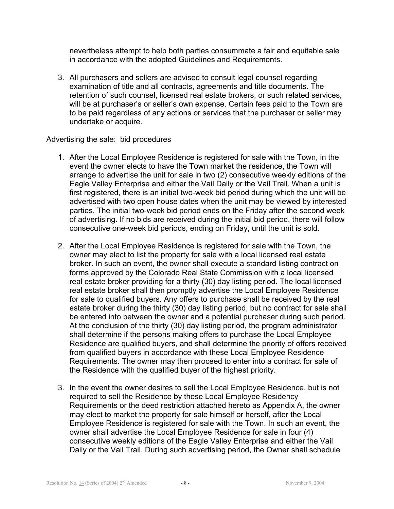nevertheless attempt to help both parties consummate a fair and equitable sale in accordance with the adopted Guidelines and Requirements.

3. All purchasers and sellers are advised to consult legal counsel regarding examination of title and all contracts, agreements and title documents. The retention of such counsel, licensed real estate brokers, or such related services, will be at purchaser's or seller's own expense. Certain fees paid to the Town are to be paid regardless of any actions or services that the purchaser or seller may undertake or acquire.

#### Advertising the sale: bid procedures

- 1. After the Local Employee Residence is registered for sale with the Town, in the event the owner elects to have the Town market the residence, the Town will arrange to advertise the unit for sale in two (2) consecutive weekly editions of the Eagle Valley Enterprise and either the Vail Daily or the Vail Trail. When a unit is first registered, there is an initial two-week bid period during which the unit will be advertised with two open house dates when the unit may be viewed by interested parties. The initial two-week bid period ends on the Friday after the second week of advertising. If no bids are received during the initial bid period, there will follow consecutive one-week bid periods, ending on Friday, until the unit is sold.
- 2. After the Local Employee Residence is registered for sale with the Town, the owner may elect to list the property for sale with a local licensed real estate broker. In such an event, the owner shall execute a standard listing contract on forms approved by the Colorado Real State Commission with a local licensed real estate broker providing for a thirty (30) day listing period. The local licensed real estate broker shall then promptly advertise the Local Employee Residence for sale to qualified buyers. Any offers to purchase shall be received by the real estate broker during the thirty (30) day listing period, but no contract for sale shall be entered into between the owner and a potential purchaser during such period. At the conclusion of the thirty (30) day listing period, the program administrator shall determine if the persons making offers to purchase the Local Employee Residence are qualified buyers, and shall determine the priority of offers received from qualified buyers in accordance with these Local Employee Residence Requirements. The owner may then proceed to enter into a contract for sale of the Residence with the qualified buyer of the highest priority.
- 3. In the event the owner desires to sell the Local Employee Residence, but is not required to sell the Residence by these Local Employee Residency Requirements or the deed restriction attached hereto as Appendix A, the owner may elect to market the property for sale himself or herself, after the Local Employee Residence is registered for sale with the Town. In such an event, the owner shall advertise the Local Employee Residence for sale in four (4) consecutive weekly editions of the Eagle Valley Enterprise and either the Vail Daily or the Vail Trail. During such advertising period, the Owner shall schedule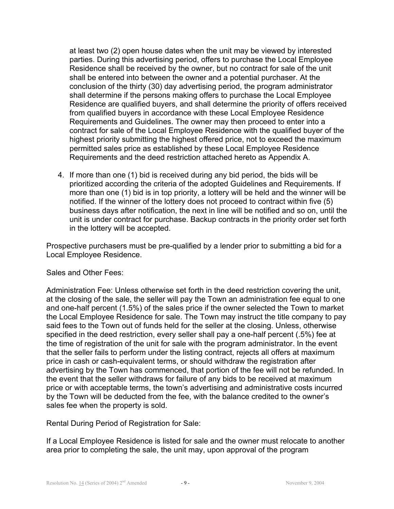at least two (2) open house dates when the unit may be viewed by interested parties. During this advertising period, offers to purchase the Local Employee Residence shall be received by the owner, but no contract for sale of the unit shall be entered into between the owner and a potential purchaser. At the conclusion of the thirty (30) day advertising period, the program administrator shall determine if the persons making offers to purchase the Local Employee Residence are qualified buyers, and shall determine the priority of offers received from qualified buyers in accordance with these Local Employee Residence Requirements and Guidelines. The owner may then proceed to enter into a contract for sale of the Local Employee Residence with the qualified buyer of the highest priority submitting the highest offered price, not to exceed the maximum permitted sales price as established by these Local Employee Residence Requirements and the deed restriction attached hereto as Appendix A.

4. If more than one (1) bid is received during any bid period, the bids will be prioritized according the criteria of the adopted Guidelines and Requirements. If more than one (1) bid is in top priority, a lottery will be held and the winner will be notified. If the winner of the lottery does not proceed to contract within five (5) business days after notification, the next in line will be notified and so on, until the unit is under contract for purchase. Backup contracts in the priority order set forth in the lottery will be accepted.

Prospective purchasers must be pre-qualified by a lender prior to submitting a bid for a Local Employee Residence.

Sales and Other Fees:

Administration Fee: Unless otherwise set forth in the deed restriction covering the unit, at the closing of the sale, the seller will pay the Town an administration fee equal to one and one-half percent (1.5%) of the sales price if the owner selected the Town to market the Local Employee Residence for sale. The Town may instruct the title company to pay said fees to the Town out of funds held for the seller at the closing. Unless, otherwise specified in the deed restriction, every seller shall pay a one-half percent (.5%) fee at the time of registration of the unit for sale with the program administrator. In the event that the seller fails to perform under the listing contract, rejects all offers at maximum price in cash or cash-equivalent terms, or should withdraw the registration after advertising by the Town has commenced, that portion of the fee will not be refunded. In the event that the seller withdraws for failure of any bids to be received at maximum price or with acceptable terms, the town's advertising and administrative costs incurred by the Town will be deducted from the fee, with the balance credited to the owner's sales fee when the property is sold.

Rental During Period of Registration for Sale:

If a Local Employee Residence is listed for sale and the owner must relocate to another area prior to completing the sale, the unit may, upon approval of the program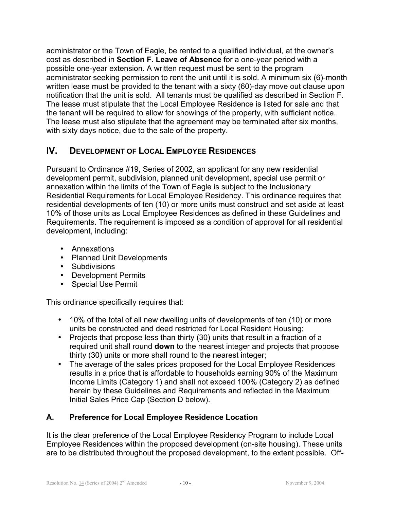administrator or the Town of Eagle, be rented to a qualified individual, at the owner's cost as described in **Section F. Leave of Absence** for a one-year period with a possible one-year extension. A written request must be sent to the program administrator seeking permission to rent the unit until it is sold. A minimum six (6)-month written lease must be provided to the tenant with a sixty (60)-day move out clause upon notification that the unit is sold. All tenants must be qualified as described in Section F. The lease must stipulate that the Local Employee Residence is listed for sale and that the tenant will be required to allow for showings of the property, with sufficient notice. The lease must also stipulate that the agreement may be terminated after six months, with sixty days notice, due to the sale of the property.

# **IV. DEVELOPMENT OF LOCAL EMPLOYEE RESIDENCES**

Pursuant to Ordinance #19, Series of 2002, an applicant for any new residential development permit, subdivision, planned unit development, special use permit or annexation within the limits of the Town of Eagle is subject to the Inclusionary Residential Requirements for Local Employee Residency. This ordinance requires that residential developments of ten (10) or more units must construct and set aside at least 10% of those units as Local Employee Residences as defined in these Guidelines and Requirements. The requirement is imposed as a condition of approval for all residential development, including:

- Annexations
- Planned Unit Developments
- Subdivisions
- Development Permits
- Special Use Permit

This ordinance specifically requires that:

- 10% of the total of all new dwelling units of developments of ten (10) or more units be constructed and deed restricted for Local Resident Housing;
- Projects that propose less than thirty (30) units that result in a fraction of a required unit shall round **down** to the nearest integer and projects that propose thirty (30) units or more shall round to the nearest integer;
- The average of the sales prices proposed for the Local Employee Residences results in a price that is affordable to households earning 90% of the Maximum Income Limits (Category 1) and shall not exceed 100% (Category 2) as defined herein by these Guidelines and Requirements and reflected in the Maximum Initial Sales Price Cap (Section D below).

# **A. Preference for Local Employee Residence Location**

It is the clear preference of the Local Employee Residency Program to include Local Employee Residences within the proposed development (on-site housing). These units are to be distributed throughout the proposed development, to the extent possible. Off-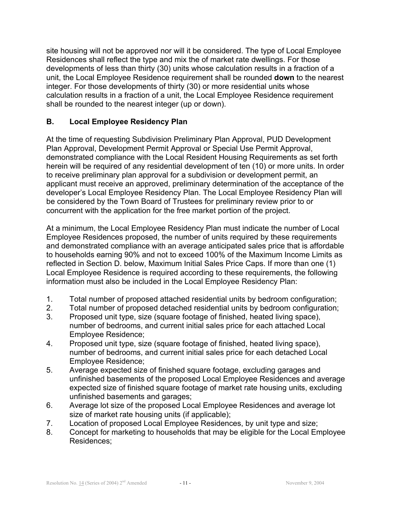site housing will not be approved nor will it be considered. The type of Local Employee Residences shall reflect the type and mix the of market rate dwellings. For those developments of less than thirty (30) units whose calculation results in a fraction of a unit, the Local Employee Residence requirement shall be rounded **down** to the nearest integer. For those developments of thirty (30) or more residential units whose calculation results in a fraction of a unit, the Local Employee Residence requirement shall be rounded to the nearest integer (up or down).

## **B. Local Employee Residency Plan**

At the time of requesting Subdivision Preliminary Plan Approval, PUD Development Plan Approval, Development Permit Approval or Special Use Permit Approval, demonstrated compliance with the Local Resident Housing Requirements as set forth herein will be required of any residential development of ten (10) or more units. In order to receive preliminary plan approval for a subdivision or development permit, an applicant must receive an approved, preliminary determination of the acceptance of the developer's Local Employee Residency Plan. The Local Employee Residency Plan will be considered by the Town Board of Trustees for preliminary review prior to or concurrent with the application for the free market portion of the project.

At a minimum, the Local Employee Residency Plan must indicate the number of Local Employee Residences proposed, the number of units required by these requirements and demonstrated compliance with an average anticipated sales price that is affordable to households earning 90% and not to exceed 100% of the Maximum Income Limits as reflected in Section D. below, Maximum Initial Sales Price Caps. If more than one (1) Local Employee Residence is required according to these requirements, the following information must also be included in the Local Employee Residency Plan:

- 1. Total number of proposed attached residential units by bedroom configuration;
- 2. Total number of proposed detached residential units by bedroom configuration;
- 3. Proposed unit type, size (square footage of finished, heated living space), number of bedrooms, and current initial sales price for each attached Local Employee Residence;
- 4. Proposed unit type, size (square footage of finished, heated living space), number of bedrooms, and current initial sales price for each detached Local Employee Residence;
- 5. Average expected size of finished square footage, excluding garages and unfinished basements of the proposed Local Employee Residences and average expected size of finished square footage of market rate housing units, excluding unfinished basements and garages;
- 6. Average lot size of the proposed Local Employee Residences and average lot size of market rate housing units (if applicable);
- 7. Location of proposed Local Employee Residences, by unit type and size;
- 8. Concept for marketing to households that may be eligible for the Local Employee Residences;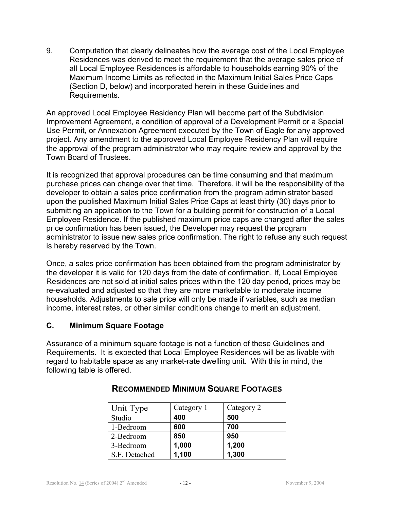9. Computation that clearly delineates how the average cost of the Local Employee Residences was derived to meet the requirement that the average sales price of all Local Employee Residences is affordable to households earning 90% of the Maximum Income Limits as reflected in the Maximum Initial Sales Price Caps (Section D, below) and incorporated herein in these Guidelines and Requirements.

An approved Local Employee Residency Plan will become part of the Subdivision Improvement Agreement, a condition of approval of a Development Permit or a Special Use Permit, or Annexation Agreement executed by the Town of Eagle for any approved project. Any amendment to the approved Local Employee Residency Plan will require the approval of the program administrator who may require review and approval by the Town Board of Trustees.

It is recognized that approval procedures can be time consuming and that maximum purchase prices can change over that time. Therefore, it will be the responsibility of the developer to obtain a sales price confirmation from the program administrator based upon the published Maximum Initial Sales Price Caps at least thirty (30) days prior to submitting an application to the Town for a building permit for construction of a Local Employee Residence. If the published maximum price caps are changed after the sales price confirmation has been issued, the Developer may request the program administrator to issue new sales price confirmation. The right to refuse any such request is hereby reserved by the Town.

Once, a sales price confirmation has been obtained from the program administrator by the developer it is valid for 120 days from the date of confirmation. If, Local Employee Residences are not sold at initial sales prices within the 120 day period, prices may be re-evaluated and adjusted so that they are more marketable to moderate income households. Adjustments to sale price will only be made if variables, such as median income, interest rates, or other similar conditions change to merit an adjustment.

## **C. Minimum Square Footage**

Assurance of a minimum square footage is not a function of these Guidelines and Requirements. It is expected that Local Employee Residences will be as livable with regard to habitable space as any market-rate dwelling unit. With this in mind, the following table is offered.

| Unit Type     | Category 1 | Category 2 |
|---------------|------------|------------|
| Studio        | 400        | 500        |
| 1-Bedroom     | 600        | 700        |
| 2-Bedroom     | 850        | 950        |
| 3-Bedroom     | 1,000      | 1,200      |
| S.F. Detached | 1,100      | 1,300      |

# **RECOMMENDED MINIMUM SQUARE FOOTAGES**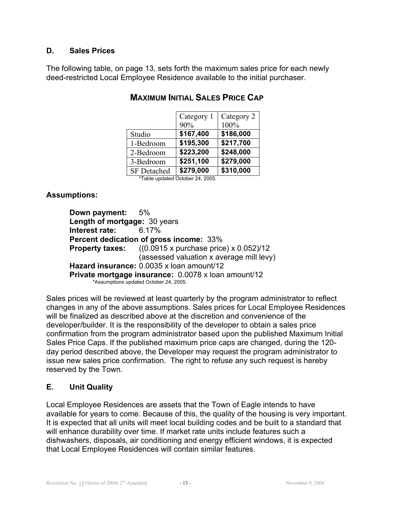## **D. Sales Prices**

The following table, on page 13, sets forth the maximum sales price for each newly deed-restricted Local Employee Residence available to the initial purchaser.

|                                  | Category 1<br>90% | Category 2<br>100% |
|----------------------------------|-------------------|--------------------|
| Studio                           | \$167,400         | \$186,000          |
| 1-Bedroom                        | \$195,300         | \$217,700          |
| 2-Bedroom                        | \$223,200         | \$248,000          |
| 3-Bedroom                        | \$251,100         | \$279,000          |
| <b>SF</b> Detached               | \$279,000         | \$310,000          |
| *Table updated October 24, 2005. |                   |                    |

# **MAXIMUM INITIAL SALES PRICE CAP**

**Assumptions:**

**Down payment:** 5% **Length of mortgage:** 30 years **Interest rate:** 6.17% **Percent dedication of gross income:** 33% **Property taxes:** ((0.0915 x purchase price) x 0.052)/12 (assessed valuation x average mill levy) **Hazard insurance:** 0.0035 x loan amount/12 **Private mortgage insurance:** 0.0078 x loan amount/12 \*Assumptions updated October 24, 2005.

Sales prices will be reviewed at least quarterly by the program administrator to reflect changes in any of the above assumptions. Sales prices for Local Employee Residences will be finalized as described above at the discretion and convenience of the developer/builder. It is the responsibility of the developer to obtain a sales price confirmation from the program administrator based upon the published Maximum Initial Sales Price Caps. If the published maximum price caps are changed, during the 120 day period described above, the Developer may request the program administrator to issue new sales price confirmation. The right to refuse any such request is hereby reserved by the Town.

## **E. Unit Quality**

Local Employee Residences are assets that the Town of Eagle intends to have available for years to come. Because of this, the quality of the housing is very important. It is expected that all units will meet local building codes and be built to a standard that will enhance durability over time. If market rate units include features such a dishwashers, disposals, air conditioning and energy efficient windows, it is expected that Local Employee Residences will contain similar features.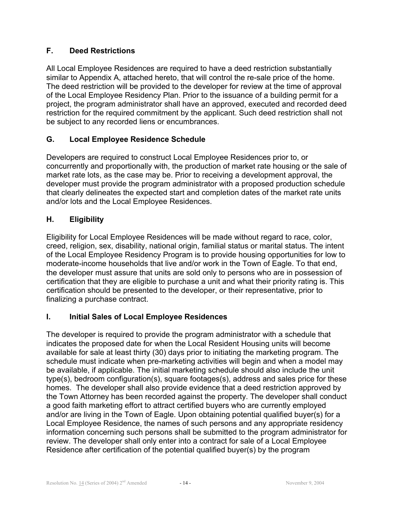## **F. Deed Restrictions**

All Local Employee Residences are required to have a deed restriction substantially similar to Appendix A, attached hereto, that will control the re-sale price of the home. The deed restriction will be provided to the developer for review at the time of approval of the Local Employee Residency Plan. Prior to the issuance of a building permit for a project, the program administrator shall have an approved, executed and recorded deed restriction for the required commitment by the applicant. Such deed restriction shall not be subject to any recorded liens or encumbrances.

## **G. Local Employee Residence Schedule**

Developers are required to construct Local Employee Residences prior to, or concurrently and proportionally with, the production of market rate housing or the sale of market rate lots, as the case may be. Prior to receiving a development approval, the developer must provide the program administrator with a proposed production schedule that clearly delineates the expected start and completion dates of the market rate units and/or lots and the Local Employee Residences.

## **H. Eligibility**

Eligibility for Local Employee Residences will be made without regard to race, color, creed, religion, sex, disability, national origin, familial status or marital status. The intent of the Local Employee Residency Program is to provide housing opportunities for low to moderate-income households that live and/or work in the Town of Eagle. To that end, the developer must assure that units are sold only to persons who are in possession of certification that they are eligible to purchase a unit and what their priority rating is. This certification should be presented to the developer, or their representative, prior to finalizing a purchase contract.

# **I. Initial Sales of Local Employee Residences**

The developer is required to provide the program administrator with a schedule that indicates the proposed date for when the Local Resident Housing units will become available for sale at least thirty (30) days prior to initiating the marketing program. The schedule must indicate when pre-marketing activities will begin and when a model may be available, if applicable. The initial marketing schedule should also include the unit type(s), bedroom configuration(s), square footages(s), address and sales price for these homes. The developer shall also provide evidence that a deed restriction approved by the Town Attorney has been recorded against the property. The developer shall conduct a good faith marketing effort to attract certified buyers who are currently employed and/or are living in the Town of Eagle. Upon obtaining potential qualified buyer(s) for a Local Employee Residence, the names of such persons and any appropriate residency information concerning such persons shall be submitted to the program administrator for review. The developer shall only enter into a contract for sale of a Local Employee Residence after certification of the potential qualified buyer(s) by the program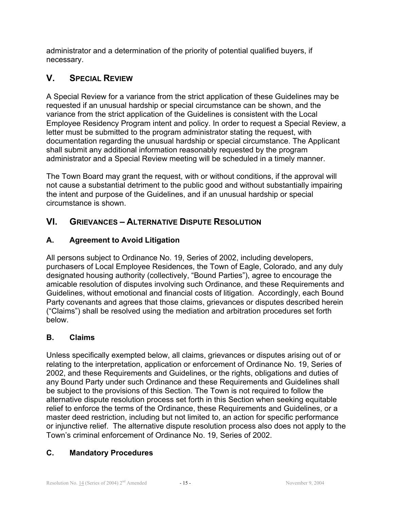administrator and a determination of the priority of potential qualified buyers, if necessary.

# **V. SPECIAL REVIEW**

A Special Review for a variance from the strict application of these Guidelines may be requested if an unusual hardship or special circumstance can be shown, and the variance from the strict application of the Guidelines is consistent with the Local Employee Residency Program intent and policy. In order to request a Special Review, a letter must be submitted to the program administrator stating the request, with documentation regarding the unusual hardship or special circumstance. The Applicant shall submit any additional information reasonably requested by the program administrator and a Special Review meeting will be scheduled in a timely manner.

The Town Board may grant the request, with or without conditions, if the approval will not cause a substantial detriment to the public good and without substantially impairing the intent and purpose of the Guidelines, and if an unusual hardship or special circumstance is shown.

# **VI. GRIEVANCES – ALTERNATIVE DISPUTE RESOLUTION**

## **A. Agreement to Avoid Litigation**

All persons subject to Ordinance No. 19, Series of 2002, including developers, purchasers of Local Employee Residences, the Town of Eagle, Colorado, and any duly designated housing authority (collectively, "Bound Parties"), agree to encourage the amicable resolution of disputes involving such Ordinance, and these Requirements and Guidelines, without emotional and financial costs of litigation. Accordingly, each Bound Party covenants and agrees that those claims, grievances or disputes described herein ("Claims") shall be resolved using the mediation and arbitration procedures set forth below.

# **B. Claims**

Unless specifically exempted below, all claims, grievances or disputes arising out of or relating to the interpretation, application or enforcement of Ordinance No. 19, Series of 2002, and these Requirements and Guidelines, or the rights, obligations and duties of any Bound Party under such Ordinance and these Requirements and Guidelines shall be subject to the provisions of this Section. The Town is not required to follow the alternative dispute resolution process set forth in this Section when seeking equitable relief to enforce the terms of the Ordinance, these Requirements and Guidelines, or a master deed restriction, including but not limited to, an action for specific performance or injunctive relief. The alternative dispute resolution process also does not apply to the Town's criminal enforcement of Ordinance No. 19, Series of 2002.

## **C. Mandatory Procedures**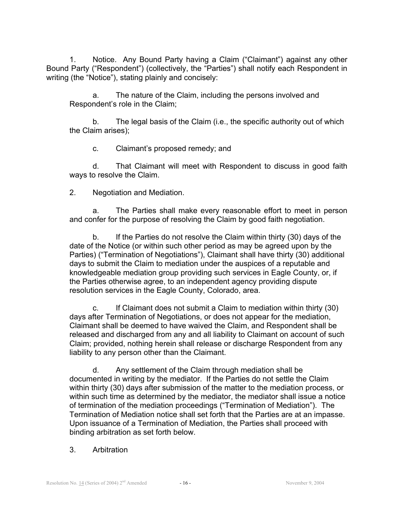1. Notice. Any Bound Party having a Claim ("Claimant") against any other Bound Party ("Respondent") (collectively, the "Parties") shall notify each Respondent in writing (the "Notice"), stating plainly and concisely:

a. The nature of the Claim, including the persons involved and Respondent's role in the Claim;

b. The legal basis of the Claim (i.e., the specific authority out of which the Claim arises);

c. Claimant's proposed remedy; and

d. That Claimant will meet with Respondent to discuss in good faith ways to resolve the Claim.

2. Negotiation and Mediation.

a. The Parties shall make every reasonable effort to meet in person and confer for the purpose of resolving the Claim by good faith negotiation.

b. If the Parties do not resolve the Claim within thirty (30) days of the date of the Notice (or within such other period as may be agreed upon by the Parties) ("Termination of Negotiations"), Claimant shall have thirty (30) additional days to submit the Claim to mediation under the auspices of a reputable and knowledgeable mediation group providing such services in Eagle County, or, if the Parties otherwise agree, to an independent agency providing dispute resolution services in the Eagle County, Colorado, area.

c. If Claimant does not submit a Claim to mediation within thirty (30) days after Termination of Negotiations, or does not appear for the mediation, Claimant shall be deemed to have waived the Claim, and Respondent shall be released and discharged from any and all liability to Claimant on account of such Claim; provided, nothing herein shall release or discharge Respondent from any liability to any person other than the Claimant.

d. Any settlement of the Claim through mediation shall be documented in writing by the mediator. If the Parties do not settle the Claim within thirty (30) days after submission of the matter to the mediation process, or within such time as determined by the mediator, the mediator shall issue a notice of termination of the mediation proceedings ("Termination of Mediation"). The Termination of Mediation notice shall set forth that the Parties are at an impasse. Upon issuance of a Termination of Mediation, the Parties shall proceed with binding arbitration as set forth below.

#### 3. Arbitration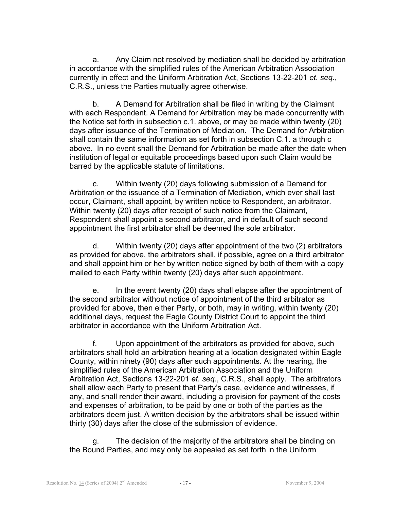a. Any Claim not resolved by mediation shall be decided by arbitration in accordance with the simplified rules of the American Arbitration Association currently in effect and the Uniform Arbitration Act, Sections 13-22-201 *et. seq.*, C.R.S., unless the Parties mutually agree otherwise.

b. A Demand for Arbitration shall be filed in writing by the Claimant with each Respondent. A Demand for Arbitration may be made concurrently with the Notice set forth in subsection c.1. above, or may be made within twenty (20) days after issuance of the Termination of Mediation. The Demand for Arbitration shall contain the same information as set forth in subsection C.1. a through c above. In no event shall the Demand for Arbitration be made after the date when institution of legal or equitable proceedings based upon such Claim would be barred by the applicable statute of limitations.

c. Within twenty (20) days following submission of a Demand for Arbitration or the issuance of a Termination of Mediation, which ever shall last occur, Claimant, shall appoint, by written notice to Respondent, an arbitrator. Within twenty (20) days after receipt of such notice from the Claimant, Respondent shall appoint a second arbitrator, and in default of such second appointment the first arbitrator shall be deemed the sole arbitrator.

d. Within twenty (20) days after appointment of the two (2) arbitrators as provided for above, the arbitrators shall, if possible, agree on a third arbitrator and shall appoint him or her by written notice signed by both of them with a copy mailed to each Party within twenty (20) days after such appointment.

e. In the event twenty (20) days shall elapse after the appointment of the second arbitrator without notice of appointment of the third arbitrator as provided for above, then either Party, or both, may in writing, within twenty (20) additional days, request the Eagle County District Court to appoint the third arbitrator in accordance with the Uniform Arbitration Act.

f. Upon appointment of the arbitrators as provided for above, such arbitrators shall hold an arbitration hearing at a location designated within Eagle County, within ninety (90) days after such appointments. At the hearing, the simplified rules of the American Arbitration Association and the Uniform Arbitration Act, Sections 13-22-201 *et. seq.*, C.R.S., shall apply. The arbitrators shall allow each Party to present that Party's case, evidence and witnesses, if any, and shall render their award, including a provision for payment of the costs and expenses of arbitration, to be paid by one or both of the parties as the arbitrators deem just. A written decision by the arbitrators shall be issued within thirty (30) days after the close of the submission of evidence.

g. The decision of the majority of the arbitrators shall be binding on the Bound Parties, and may only be appealed as set forth in the Uniform